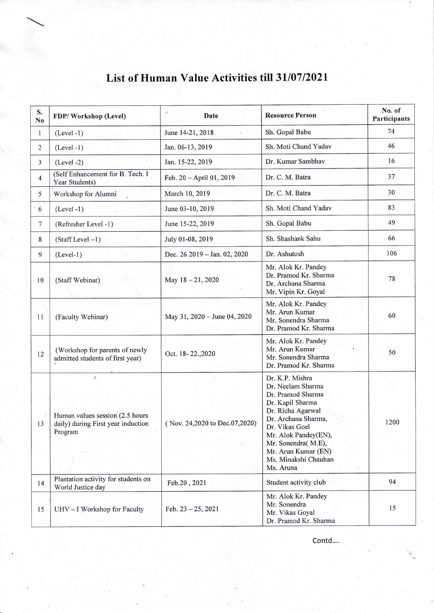| S.<br>No       | FDP/Workshop (Level)                                                                        | Date                          | <b>Resource Person</b>                                                                                                                                                                                                                                | No. of<br>Participants |
|----------------|---------------------------------------------------------------------------------------------|-------------------------------|-------------------------------------------------------------------------------------------------------------------------------------------------------------------------------------------------------------------------------------------------------|------------------------|
| $\mathbf{1}$   | $(Level -1)$                                                                                | June 14-21, 2018              | Sh. Gopal Babu                                                                                                                                                                                                                                        | 74                     |
| $\overline{2}$ | $(Level - 1)$                                                                               | Jan. 06-13, 2019              | Sh. Moti Chand Yadav                                                                                                                                                                                                                                  | 46                     |
| 3              | $(Level -2)$                                                                                | Jan. 15-22, 2019              | Dr. Kumar Sambhav                                                                                                                                                                                                                                     | 16                     |
| $\overline{4}$ | (Self Enhancement for B. Tech. I<br>Year Students)                                          | Feb. 20 - April 01, 2019      | Dr. C. M. Batra                                                                                                                                                                                                                                       | 37                     |
| 5              | Workshop for Alumni                                                                         | March 10, 2019                | Dr. C. M. Batra                                                                                                                                                                                                                                       | 30                     |
| 6              | $(Level -1)$                                                                                | June 03-10, 2019              | Sh. Moti Chand Yadav                                                                                                                                                                                                                                  | 83                     |
| 7              | (Refresher Level -1)                                                                        | June 15-22, 2019              | Sh. Gopal Babu                                                                                                                                                                                                                                        | 49                     |
| 8              | $(Staff Level -1)$                                                                          | July 01-08, 2019              | Sh. Shashank Sahu                                                                                                                                                                                                                                     | 66                     |
| 9              | $(Level-1)$                                                                                 | Dec. 26 2019 - Jan. 02, 2020  | Dr. Ashutosh                                                                                                                                                                                                                                          | 106                    |
| 10             | (Staff Webinar)                                                                             | May 18-21, 2020               | Mr. Alok Kr. Pandey<br>Dr. Pramod Kr. Sharma<br>Dr. Archana Sharma<br>Mr. Vipin Kr. Goyal                                                                                                                                                             | 78                     |
| 11             | (Faculty Webinar)                                                                           | May 31, 2020 - June 04, 2020  | Mr. Alok Kr. Pandey<br>Mr. Arun Kumar<br>Mr. Sonendra Sharma<br>Dr. Pramod Kr. Sharma                                                                                                                                                                 | 60                     |
| 12             | (Workshop for parents of newly<br>admitted students of first year)                          | Oct. 18-22.,2020              | Mr. Alok Kr. Pandey<br>Mr. Arun Kumar<br>Mr. Sonendra Sharma<br>Dr. Pramod Kr. Sharma                                                                                                                                                                 | 50                     |
| 13             | $\beta$<br>Human values session (2.5 hours<br>daily) during First year induction<br>Program | (Nov. 24,2020 to Dec.07,2020) | Dr. K.P. Mishra<br>Dr. Neelam Sharma<br>Dr. Pramod Sharma<br>Dr. Kapil Sharma<br>Dr. Richa Agarwal<br>Dr. Archana Sharma,<br>Dr. Vikas Goel<br>Mr. Alok Pandey(EN),<br>Mr. Sonendra(M.E),<br>Mr. Arun Kumar (EN)<br>Ms. Minakshi Chauhan<br>Ms. Aruna | 1200                   |
| 14             | Plantation activity for students on                                                         | Feb.20, 2021                  | Student activity club                                                                                                                                                                                                                                 | 94                     |
| 15             | World Justice day<br>UHV - I Workshop for Faculty                                           | Feb. $23 - 25$ , 2021         | Mr. Alok Kr. Pandey<br>Mr. Sonendra<br>Mr. Vikas Goyal<br>Dr. Pramod Kr. Sharma                                                                                                                                                                       | 15                     |

## List of Human Value Activities till 31/07/2021

Contd....